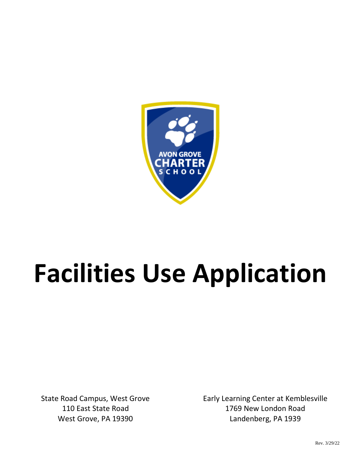

# **Facilities Use Application**

State Road Campus, West Grove 110 East State Road West Grove, PA 19390

Early Learning Center at Kemblesville 1769 New London Road Landenberg, PA 1939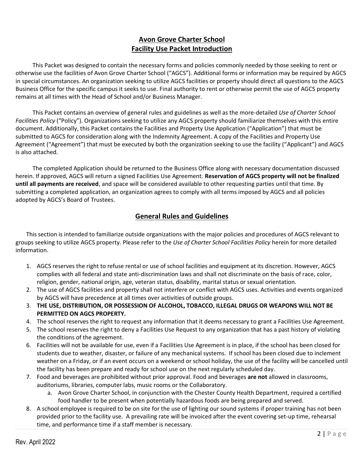# **Avon Grove Charter School Facility Use Packet Introduction**

This Packet was designed to contain the necessary forms and policies commonly needed by those seeking to rent or otherwise use the facilities of Avon Grove Charter School ("AGCS"). Additional forms or information may be required by AGCS in special circumstances. An organization seeking to utilize AGCS facilities or property should direct all questions to the AGCS Business Office for the specific campus it seeks to use. Final authority to rent or otherwise permit the use of AGCS property remains at all times with the Head of School and/or Business Manager.

This Packet contains an overview of general rules and guidelines as well as the more-detailed *Use of Charter School Facilities Policy* ("Policy"). Organizations seeking to utilize any AGCS property should familiarize themselves with this entire document. Additionally, this Packet contains the Facilities and Property Use Application ("Application") that must be submitted to AGCS for consideration along with the Indemnity Agreement. A copy of the Facilities and Property Use Agreement ("Agreement") that must be executed by both the organization seeking to use the facility ("Applicant") and AGCS is also attached.

The completed Application should be returned to the Business Office along with necessary documentation discussed herein. If approved, AGCS will return a signed Facilities Use Agreement. **Reservation of AGCS property will not be finalized until all payments are received**, and space will be considered available to other requesting parties until that time. By submitting a completed application, an organization agrees to comply with all terms imposed by AGCS and all policies adopted by AGCS's Board of Trustees.

# **General Rules and Guidelines**

This section is intended to familiarize outside organizations with the major policies and procedures of AGCS relevant to groups seeking to utilize AGCS property. Please refer to the *Use of Charter School Facilities Policy* herein for more detailed information.

- 1. AGCS reserves the right to refuse rental or use of school facilities and equipment at its discretion. However, AGCS complies with all federal and state anti-discrimination laws and shall not discriminate on the basis of race, color, religion, gender, national origin, age, veteran status, disability, marital status or sexual orientation.
- 2. The use of AGCS facilities and property shall not interfere or conflict with AGCS uses. Activities and events organized by AGCS will have precedence at all times over activities of outside groups.
- 3. **THE USE, DISTRIBUTION, OR POSSESSION OF ALCOHOL, TOBACCO, ILLEGAL DRUGS OR WEAPONS WILL NOT BE PERMITTED ON AGCS PROPERTY.**
- 4. The school reserves the right to request any information that it deems necessary to grant a Facilities Use Agreement.
- 5. The school reserves the right to deny a Facilities Use Request to any organization that has a past history of violating the conditions of the agreement.
- 6. Facilities will not be available for use, even if a Facilities Use Agreement is in place, if the school has been closed for students due to weather, disaster, or failure of any mechanical systems. If school has been closed due to inclement weather on a Friday, or if an event occurs on a weekend or school holiday, the use of the facility will be cancelled until the facility has been prepare and ready for school use on the next regularly scheduled day.
- 7. Food and beverages are prohibited without prior approval. Food and beverages **are not** allowed in classrooms, auditoriums, libraries, computer labs, music rooms or the Collaboratory.
	- a. Avon Grove Charter School, in conjunction with the Chester County Health Department, required a certified food handler to be present when potentially hazardous foods are being prepared and served.
- 8. A school employee is required to be on site for the use of lighting our sound systems if proper training has not been provided prior to the facility use. A prevailing rate will be invoiced after the event covering set-up time, rehearsal time, and performance time if a staff member is necessary.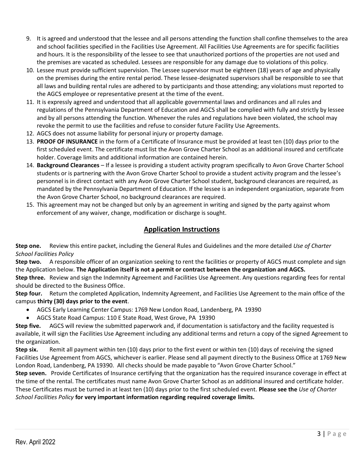- 9. It is agreed and understood that the lessee and all persons attending the function shall confine themselves to the area and school facilities specified in the Facilities Use Agreement. All Facilities Use Agreements are for specific facilities and hours. It is the responsibility of the lessee to see that unauthorized portions of the properties are not used and the premises are vacated as scheduled. Lessees are responsible for any damage due to violations of this policy.
- 10. Lessee must provide sufficient supervision. The Lessee supervisor must be eighteen (18) years of age and physically on the premises during the entire rental period. These lessee-designated supervisors shall be responsible to see that all laws and building rental rules are adhered to by participants and those attending; any violations must reported to the AGCS employee or representative present at the time of the event.
- 11. It is expressly agreed and understood that all applicable governmental laws and ordinances and all rules and regulations of the Pennsylvania Department of Education and AGCS shall be complied with fully and strictly by lessee and by all persons attending the function. Whenever the rules and regulations have been violated, the school may revoke the permit to use the facilities and refuse to consider future Facility Use Agreements.
- 12. AGCS does not assume liability for personal injury or property damage.
- 13. **PROOF OF INSURANCE** in the form of a Certificate of Insurance must be provided at least ten (10) days prior to the first scheduled event. The certificate must list the Avon Grove Charter School as an additional insured and certificate holder. Coverage limits and additional information are contained herein.
- 14. **Background Clearances**  If a lessee is providing a student activity program specifically to Avon Grove Charter School students or is partnering with the Avon Grove Charter School to provide a student activity program and the lessee's personnel is in direct contact with any Avon Grove Charter School student, background clearances are required, as mandated by the Pennsylvania Department of Education. If the lessee is an independent organization, separate from the Avon Grove Charter School, no background clearances are required.
- 15. This agreement may not be changed but only by an agreement in writing and signed by the party against whom enforcement of any waiver, change, modification or discharge is sought.

## **Application Instructions**

**Step one.** Review this entire packet, including the General Rules and Guidelines and the more detailed *Use of Charter School Facilities Policy*

**Step two.** A responsible officer of an organization seeking to rent the facilities or property of AGCS must complete and sign the Application below. **The Application itself is not a permit or contract between the organization and AGCS.** 

**Step three.** Review and sign the Indemnity Agreement and Facilities Use Agreement. Any questions regarding fees for rental should be directed to the Business Office.

**Step four.** Return the completed Application, Indemnity Agreement, and Facilities Use Agreement to the main office of the campus **thirty (30) days prior to the event**.

- AGCS Early Learning Center Campus: 1769 New London Road, Landenberg, PA 19390
- AGCS State Road Campus: 110 E State Road, West Grove, PA 19390

**Step five.** AGCS will review the submitted paperwork and, if documentation is satisfactory and the facility requested is available, it will sign the Facilities Use Agreement including any additional terms and return a copy of the signed Agreement to the organization.

**Step six.** Remit all payment within ten (10) days prior to the first event or within ten (10) days of receiving the signed Facilities Use Agreement from AGCS, whichever is earlier. Please send all payment directly to the Business Office at 1769 New London Road, Landenberg, PA 19390. All checks should be made payable to "Avon Grove Charter School."

**Step seven.** Provide Certificates of Insurance certifying that the organization has the required insurance coverage in effect at the time of the rental. The certificates must name Avon Grove Charter School as an additional insured and certificate holder. These Certificates must be turned in at least ten (10) days prior to the first scheduled event. **Please see the** *Use of Charter School Facilities Policy* **for very important information regarding required coverage limits.**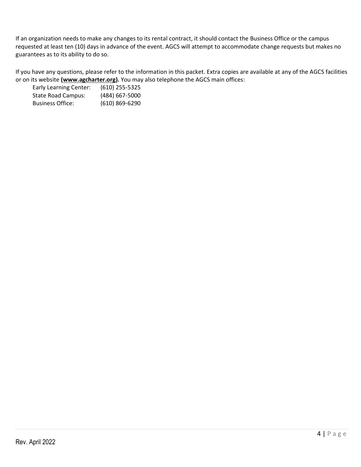If an organization needs to make any changes to its rental contract, it should contact the Business Office or the campus requested at least ten (10) days in advance of the event. AGCS will attempt to accommodate change requests but makes no guarantees as to its ability to do so.

If you have any questions, please refer to the information in this packet. Extra copies are available at any of the AGCS facilities or on its website **[\(www.agcharter.org\)](http://www.agcharter.org/).** You may also telephone the AGCS main offices:

| <b>Early Learning Center:</b> | $(610)$ 255-5325 |
|-------------------------------|------------------|
| <b>State Road Campus:</b>     | $(484)$ 667-5000 |
| <b>Business Office:</b>       | (610) 869-6290   |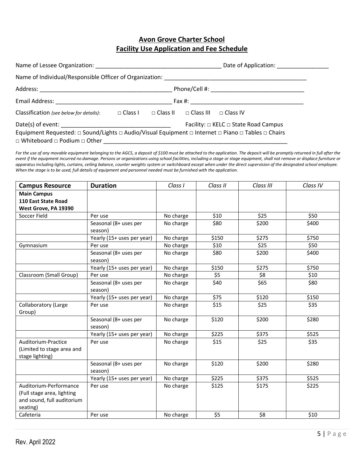# **Avon Grove Charter School Facility Use Application and Fee Schedule**

| Name of Lessee Organization: Name of Lessee Organization:                                                                                         |                |                 | Date of Application: ________________ |                 |
|---------------------------------------------------------------------------------------------------------------------------------------------------|----------------|-----------------|---------------------------------------|-----------------|
| Name of Individual/Responsible Officer of Organization: Name of Individual Press, 1988.                                                           |                |                 |                                       |                 |
|                                                                                                                                                   |                |                 |                                       |                 |
| Email Address: 2008. 2009. 2010. 2010. 2010. 2010. 2010. 2010. 2010. 2010. 2010. 2010. 2010. 2010. 2010. 2010                                     |                |                 |                                       |                 |
| Classification (see below for details):                                                                                                           | $\Box$ Class I | $\Box$ Class II | $\Box$ Class III                      | $\Box$ Class IV |
| Date(s) of event:<br>Facility: □ KELC □ State Road Campus                                                                                         |                |                 |                                       |                 |
| Equipment Requested: □ Sound/Lights □ Audio/Visual Equipment □ Internet □ Piano □ Tables □ Chairs<br>$\Box$ Whiteboard $\Box$ Podium $\Box$ Other |                |                 |                                       |                 |

For the use of any movable equipment belonging to the AGCS, a deposit of \$100 must be attached to the application. The deposit will be promptly returned in full after the *event if the equipment incurred no damage. Persons or organizations using school facilities, including a stage or stage equipment, shall not remove or displace furniture or apparatus including lights, curtains, ceiling balance, counter weights system or switchboard except when under the direct supervision of the designated school employee. When the stage is to be used, full details of equipment and personnel needed must be furnished with the application.*

| <b>Campus Resource</b>      | <b>Duration</b>            | Class I   | Class II | Class III | Class IV |
|-----------------------------|----------------------------|-----------|----------|-----------|----------|
| <b>Main Campus</b>          |                            |           |          |           |          |
| 110 East State Road         |                            |           |          |           |          |
| West Grove, PA 19390        |                            |           |          |           |          |
| Soccer Field                | Per use                    | No charge | \$10     | \$25      | \$50     |
|                             | Seasonal (8+ uses per      | No charge | \$80     | \$200     | \$400    |
|                             | season)                    |           |          |           |          |
|                             | Yearly (15+ uses per year) | No charge | \$150    | \$275     | \$750    |
| Gymnasium                   | Per use                    | No charge | \$10     | \$25      | \$50     |
|                             | Seasonal (8+ uses per      | No charge | \$80     | \$200     | \$400    |
|                             | season)                    |           |          |           |          |
|                             | Yearly (15+ uses per year) | No charge | \$150    | \$275     | \$750    |
| Classroom (Small Group)     | Per use                    | No charge | \$5      | \$8       | \$10     |
|                             | Seasonal (8+ uses per      | No charge | \$40     | \$65      | \$80     |
|                             | season)                    |           |          |           |          |
|                             | Yearly (15+ uses per year) | No charge | \$75     | \$120     | \$150    |
| <b>Collaboratory (Large</b> | Per use                    | No charge | \$15     | \$25      | \$35     |
| Group)                      |                            |           |          |           |          |
|                             | Seasonal (8+ uses per      | No charge | \$120    | \$200     | \$280    |
|                             | season)                    |           |          |           |          |
|                             | Yearly (15+ uses per year) | No charge | \$225    | \$375     | \$525    |
| Auditorium-Practice         | Per use                    | No charge | \$15     | \$25      | \$35     |
| (Limited to stage area and  |                            |           |          |           |          |
| stage lighting)             |                            |           |          |           |          |
|                             | Seasonal (8+ uses per      | No charge | \$120    | \$200     | \$280    |
|                             | season)                    |           |          |           |          |
|                             | Yearly (15+ uses per year) | No charge | \$225    | \$375     | \$525    |
| Auditorium-Performance      | Per use                    | No charge | \$125    | \$175     | \$225    |
| (Full stage area, lighting  |                            |           |          |           |          |
| and sound, full auditorium  |                            |           |          |           |          |
| seating)                    |                            |           |          |           |          |
| Cafeteria                   | Per use                    | No charge | \$5      | \$8       | \$10     |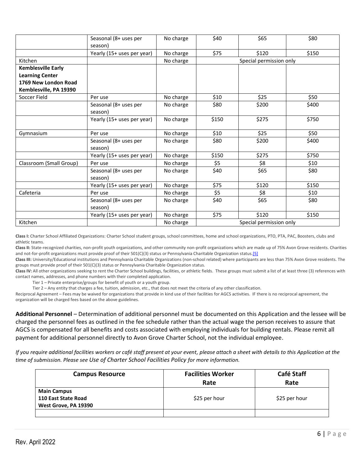|                           | Seasonal (8+ uses per<br>season) | No charge | \$40                    | \$65                    | \$80  |
|---------------------------|----------------------------------|-----------|-------------------------|-------------------------|-------|
|                           | Yearly (15+ uses per year)       | No charge | \$75                    | \$120                   | \$150 |
| Kitchen                   |                                  | No charge |                         | Special permission only |       |
| <b>Kemblesville Early</b> |                                  |           |                         |                         |       |
| <b>Learning Center</b>    |                                  |           |                         |                         |       |
| 1769 New London Road      |                                  |           |                         |                         |       |
| Kemblesville, PA 19390    |                                  |           |                         |                         |       |
| Soccer Field              | Per use                          | No charge | \$10                    | \$25                    | \$50  |
|                           | Seasonal (8+ uses per            | No charge | \$80                    | \$200                   | \$400 |
|                           | season)                          |           |                         |                         |       |
|                           | Yearly (15+ uses per year)       | No charge | \$150                   | \$275                   | \$750 |
| Gymnasium                 | Per use                          | No charge | \$10                    | \$25                    | \$50  |
|                           | Seasonal (8+ uses per<br>season) | No charge | \$80                    | \$200                   | \$400 |
|                           | Yearly (15+ uses per year)       | No charge | \$150                   | \$275                   | \$750 |
| Classroom (Small Group)   | Per use                          | No charge | \$5                     | \$8                     | \$10  |
|                           | Seasonal (8+ uses per<br>season) | No charge | \$40                    | \$65                    | \$80  |
|                           | Yearly (15+ uses per year)       | No charge | \$75                    | \$120                   | \$150 |
| Cafeteria                 | Per use                          | No charge | \$5                     | \$8                     | \$10  |
|                           | Seasonal (8+ uses per            | No charge | \$40                    | \$65                    | \$80  |
|                           | season)                          |           |                         |                         |       |
|                           | Yearly (15+ uses per year)       | No charge | \$75                    | \$120                   | \$150 |
| Kitchen                   |                                  | No charge | Special permission only |                         |       |

**Class I:** Charter School Affiliated Organizations: Charter School student groups,school committees, home and school organizations, PTO, PTA, PAC, Boosters, clubs and athletic teams.

**Class II:** State-recognized charities, non-profit youth organizations, and other community non-profit organizations which are made up of 75% Avon Grove residents. Charities and not-for-profit organizations must provide proof of their 501(C)(3) status or Pennsylvania Charitable Organization status[.\[5\]](http://www.law.cornell.edu/uscode/text/20/7905)

**Class III:** University/Educational institutions and Pennsylvania Charitable Organizations (non-school related) where participants are less than 75% Avon Grove residents. The groups must provide proof of their 501(C)(3) status or Pennsylvania Charitable Organization status.

Class IV: All other organizations seeking to rent the Charter School buildings, facilities, or athletic fields. These groups must submit a list of at least three (3) references with contact names, addresses, and phone numbers with their completed application.

Tier 1 – Private enterprise/groups for benefit of youth or a youth group.

Tier 2 – Any entity that charges a fee, tuition, admission, etc., that does not meet the criteria of any other classification.

Reciprocal Agreement – Fees may be waived for organizations that provide in kind use of their facilities for AGCS activities. IF there is no reciprocal agreement, the organization will be charged fees based on the above guidelines.

**Additional Personnel** – Determination of additional personnel must be documented on this Application and the lessee will be charged the personnel fees as outlined in the fee schedule rather than the actual wage the person receives to assure that AGCS is compensated for all benefits and costs associated with employing individuals for building rentals. Please remit all payment for additional personnel directly to Avon Grove Charter School, not the individual employee.

*If you require additional facilities workers or café staff present at your event, please attach a sheet with details to this Application at the time of submission. Please see Use of Charter School Facilities Policy for more information.*

| <b>Campus Resource</b>                                            | <b>Facilities Worker</b><br>Rate | Café Staff<br>Rate |
|-------------------------------------------------------------------|----------------------------------|--------------------|
| <b>Main Campus</b><br>110 East State Road<br>West Grove, PA 19390 | \$25 per hour                    | \$25 per hour      |
|                                                                   |                                  |                    |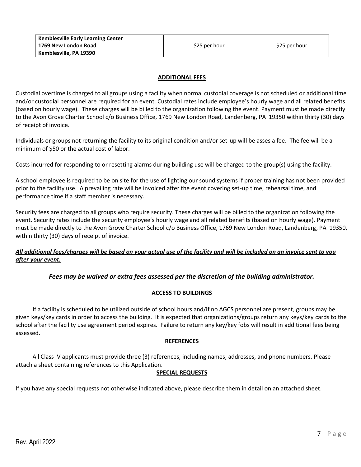#### **ADDITIONAL FEES**

Custodial overtime is charged to all groups using a facility when normal custodial coverage is not scheduled or additional time and/or custodial personnel are required for an event. Custodial rates include employee's hourly wage and all related benefits (based on hourly wage). These charges will be billed to the organization following the event. Payment must be made directly to the Avon Grove Charter School c/o Business Office, 1769 New London Road, Landenberg, PA 19350 within thirty (30) days of receipt of invoice.

Individuals or groups not returning the facility to its original condition and/or set-up will be asses a fee. The fee will be a minimum of \$50 or the actual cost of labor.

Costs incurred for responding to or resetting alarms during building use will be charged to the group(s) using the facility.

A school employee is required to be on site for the use of lighting our sound systems if proper training has not been provided prior to the facility use. A prevailing rate will be invoiced after the event covering set-up time, rehearsal time, and performance time if a staff member is necessary.

Security fees are charged to all groups who require security. These charges will be billed to the organization following the event. Security rates include the security employee's hourly wage and all related benefits (based on hourly wage). Payment must be made directly to the Avon Grove Charter School c/o Business Office, 1769 New London Road, Landenberg, PA 19350, within thirty (30) days of receipt of invoice.

### *All additional fees/charges will be based on your actual use of the facility and will be included on an invoice sent to you after your event.*

#### *Fees may be waived or extra fees assessed per the discretion of the building administrator.*

#### **ACCESS TO BUILDINGS**

If a facility is scheduled to be utilized outside of school hours and/if no AGCS personnel are present, groups may be given keys/key cards in order to access the building. It is expected that organizations/groups return any keys/key cards to the school after the facility use agreement period expires. Failure to return any key/key fobs will result in additional fees being assessed.

#### **REFERENCES**

All Class IV applicants must provide three (3) references, including names, addresses, and phone numbers. Please attach a sheet containing references to this Application.

#### **SPECIAL REQUESTS**

If you have any special requests not otherwise indicated above, please describe them in detail on an attached sheet.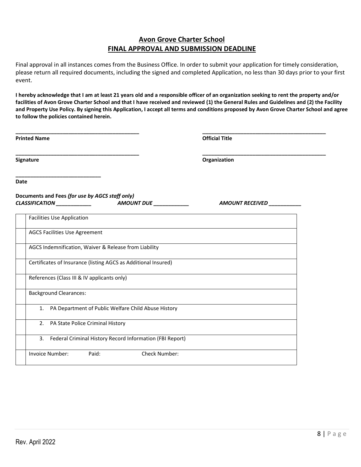# **Avon Grove Charter School FINAL APPROVAL AND SUBMISSION DEADLINE**

Final approval in all instances comes from the Business Office. In order to submit your application for timely consideration, please return all required documents, including the signed and completed Application, no less than 30 days prior to your first event.

**I hereby acknowledge that I am at least 21 years old and a responsible officer of an organization seeking to rent the property and/or facilities of Avon Grove Charter School and that I have received and reviewed (1) the General Rules and Guidelines and (2) the Facility and Property Use Policy. By signing this Application, I accept all terms and conditions proposed by Avon Grove Charter School and agree to follow the policies contained herein.**

| <b>Printed Name</b>                                                                                     | <b>Official Title</b> |  |
|---------------------------------------------------------------------------------------------------------|-----------------------|--|
| Signature                                                                                               | Organization          |  |
| Date                                                                                                    |                       |  |
| Documents and Fees (for use by AGCS staff only)<br>CLASSIFICATION ___________<br>AMOUNT DUE ___________ | AMOUNT RECEIVED       |  |
| <b>Facilities Use Application</b>                                                                       |                       |  |
| <b>AGCS Facilities Use Agreement</b>                                                                    |                       |  |
| AGCS Indemnification, Waiver & Release from Liability                                                   |                       |  |
| Certificates of Insurance (listing AGCS as Additional Insured)                                          |                       |  |
| References (Class III & IV applicants only)                                                             |                       |  |
| <b>Background Clearances:</b>                                                                           |                       |  |
| 1. PA Department of Public Welfare Child Abuse History                                                  |                       |  |
| 2. PA State Police Criminal History                                                                     |                       |  |
| 3. Federal Criminal History Record Information (FBI Report)                                             |                       |  |
| Paid:<br>Check Number:<br><b>Invoice Number:</b>                                                        |                       |  |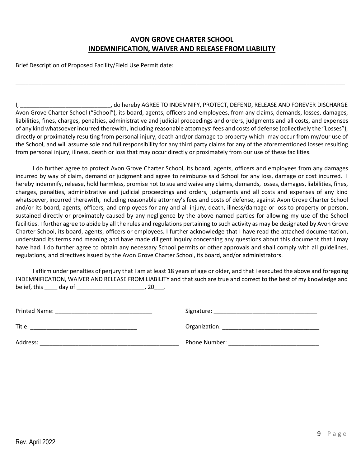# **AVON GROVE CHARTER SCHOOL INDEMNIFICATION, WAIVER AND RELEASE FROM LIABILITY**

\_\_\_\_\_\_\_\_\_\_\_\_\_\_\_\_\_\_\_\_\_\_\_\_\_\_\_\_\_\_\_\_\_\_\_\_\_\_\_\_\_\_\_\_\_\_\_\_\_\_\_\_\_\_\_\_\_\_\_\_\_\_\_\_\_\_\_\_\_\_\_\_\_\_\_\_\_\_\_\_\_\_\_\_\_\_\_\_\_\_\_\_\_\_\_\_\_\_\_\_\_\_

Brief Description of Proposed Facility/Field Use Permit date:

I, \_\_\_\_\_\_\_\_\_\_\_\_\_\_\_\_\_\_\_\_\_\_\_\_\_\_\_\_, do hereby AGREE TO INDEMNIFY, PROTECT, DEFEND, RELEASE AND FOREVER DISCHARGE Avon Grove Charter School ("School"), its board, agents, officers and employees, from any claims, demands, losses, damages, liabilities, fines, charges, penalties, administrative and judicial proceedings and orders, judgments and all costs, and expenses of any kind whatsoever incurred therewith, including reasonable attorneys' fees and costs of defense (collectively the "Losses"), directly or proximately resulting from personal injury, death and/or damage to property which may occur from my/our use of the School, and will assume sole and full responsibility for any third party claims for any of the aforementioned losses resulting from personal injury, illness, death or loss that may occur directly or proximately from our use of these facilities.

I do further agree to protect Avon Grove Charter School, its board, agents, officers and employees from any damages incurred by way of claim, demand or judgment and agree to reimburse said School for any loss, damage or cost incurred. I hereby indemnify, release, hold harmless, promise not to sue and waive any claims, demands, losses, damages, liabilities, fines, charges, penalties, administrative and judicial proceedings and orders, judgments and all costs and expenses of any kind whatsoever, incurred therewith, including reasonable attorney's fees and costs of defense, against Avon Grove Charter School and/or its board, agents, officers, and employees for any and all injury, death, illness/damage or loss to property or person, sustained directly or proximately caused by any negligence by the above named parties for allowing my use of the School facilities. I further agree to abide by all the rules and regulations pertaining to such activity as may be designated by Avon Grove Charter School, its board, agents, officers or employees. I further acknowledge that I have read the attached documentation, understand its terms and meaning and have made diligent inquiry concerning any questions about this document that I may have had. I do further agree to obtain any necessary School permits or other approvals and shall comply with all guidelines, regulations, and directives issued by the Avon Grove Charter School, its board, and/or administrators.

I affirm under penalties of perjury that I am at least 18 years of age or older, and that I executed the above and foregoing INDEMNIFICATION, WAIVER AND RELEASE FROM LIABILITY and that such are true and correct to the best of my knowledge and belief, this \_\_\_\_\_ day of \_\_\_\_\_\_\_\_\_\_\_\_\_\_\_\_\_\_\_\_\_\_\_\_\_\_\_, 20\_\_\_\_.

| Printed Name: | Signature:    |
|---------------|---------------|
| Title:        | Organization: |
| Address:      | Phone Number: |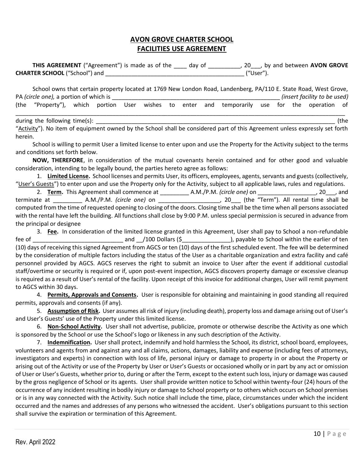# **AVON GROVE CHARTER SCHOOL FACILITIES USE AGREEMENT**

**THIS AGREEMENT** ("Agreement") is made as of the \_\_\_\_ day of \_\_\_\_\_\_\_\_\_\_, 20\_\_\_, by and between **AVON GROVE CHARTER SCHOOL** ("School") and \_\_\_\_\_\_\_\_\_\_\_\_\_\_\_\_\_\_\_\_\_\_\_\_\_\_\_\_\_\_\_\_\_\_\_\_\_\_\_\_\_\_\_ ("User").

School owns that certain property located at 1769 New London Road, Landenberg, PA/110 E. State Road, West Grove, PA *(circle one),* a portion of which is \_\_\_\_\_\_\_\_\_\_\_\_\_\_\_\_\_\_\_\_\_\_\_\_\_\_\_\_\_\_\_\_\_\_\_\_\_\_\_\_\_\_\_\_\_\_\_\_\_\_\_\_ *(insert facility to be used)* (the "Property"), which portion User wishes to enter and temporarily use for the operation of \_\_\_\_\_\_\_\_\_\_\_\_\_\_\_\_\_\_\_\_\_\_\_\_\_\_\_\_\_\_\_\_\_\_\_\_\_\_\_\_\_\_\_\_\_\_\_\_\_\_\_\_\_\_\_\_\_\_\_\_\_\_\_\_\_\_\_\_\_\_\_\_\_\_\_\_\_\_\_\_\_\_\_\_\_\_\_\_\_\_\_\_\_\_\_\_\_\_\_\_\_\_

during the following time(s):  $\qquad \qquad$  (the

"Activity"). No item of equipment owned by the School shall be considered part of this Agreement unless expressly set forth herein.

School is willing to permit User a limited license to enter upon and use the Property for the Activity subject to the terms and conditions set forth below.

**NOW, THEREFORE**, in consideration of the mutual covenants herein contained and for other good and valuable consideration, intending to be legally bound, the parties hereto agree as follows:

1. **Limited License.** School licenses and permits User, its officers, employees, agents, servants and guests (collectively, "User's Guests") to enter upon and use the Property only for the Activity, subject to all applicable laws, rules and regulations. 2. **Term.** This Agreement shall commence at \_\_\_\_\_\_\_\_\_ A.M./P.M. *(circle one)* on \_\_\_\_\_\_\_\_\_\_\_\_\_\_\_\_\_\_, 20\_\_\_, and terminate at \_\_\_\_\_\_\_\_\_ A.M./P.M. *(circle one)* on \_\_\_\_\_\_\_\_\_\_\_\_\_\_\_\_\_\_\_, 20\_\_\_ (the "Term"). All rental time shall be computed from the time of requested opening to closing of the doors. Closing time shall be the time when all persons associated with the rental have left the building. All functions shall close by 9:00 P.M. unless special permission is secured in advance from the principal or designee

3. **Fee.** In consideration of the limited license granted in this Agreement, User shall pay to School a non-refundable fee of \_\_\_\_\_\_\_\_\_\_\_\_\_\_\_\_\_\_\_\_\_\_\_\_\_\_\_\_ and \_\_/100 Dollars (\$\_\_\_\_\_\_\_\_\_\_\_\_\_\_\_), payable to School within the earlier of ten (10) days of receiving this signed Agreement from AGCS or ten (10) days of the first scheduled event. The fee will be determined by the consideration of multiple factors including the status of the User as a charitable organization and extra facility and café personnel provided by AGCS. AGCS reserves the right to submit an invoice to User after the event if additional custodial staff/overtime or security is required or if, upon post-event inspection, AGCS discovers property damage or excessive cleanup is required as a result of User's rental of the facility. Upon receipt of this invoice for additional charges, User will remit payment to AGCS within 30 days.

4. **Permits, Approvals and Consents.** User is responsible for obtaining and maintaining in good standing all required permits, approvals and consents (if any).

5. **Assumption of Risk.** User assumes all risk of injury (including death), property loss and damage arising out of User's and User's Guests' use of the Property under this limited license.

6. **Non-School Activity.** User shall not advertise, publicize, promote or otherwise describe the Activity as one which is sponsored by the School or use the School's logo or likeness in any such description of the Activity.

7. **Indemnification.** User shall protect, indemnify and hold harmless the School, its district, school board, employees, volunteers and agents from and against any and all claims, actions, damages, liability and expense (including fees of attorneys, investigators and experts) in connection with loss of life, personal injury or damage to property in or about the Property or arising out of the Activity or use of the Property by User or User's Guests or occasioned wholly or in part by any act or omission of User or User's Guests, whether prior to, during or after the Term, except to the extent such loss, injury or damage was caused by the gross negligence of School or its agents. User shall provide written notice to School within twenty-four (24) hours of the occurrence of any incident resulting in bodily injury or damage to School property or to others which occurs on School premises or is in any way connected with the Activity. Such notice shall include the time, place, circumstances under which the incident occurred and the names and addresses of any persons who witnessed the accident. User's obligations pursuant to this section shall survive the expiration or termination of this Agreement.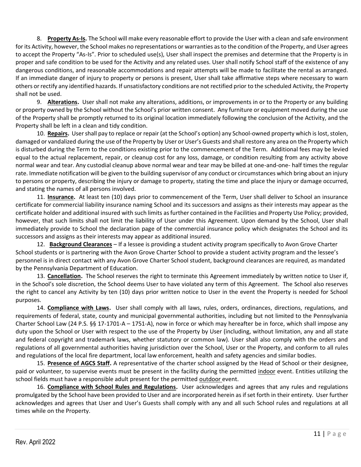8. **Property As-Is.** The School will make every reasonable effort to provide the User with a clean and safe environment for its Activity, however, the School makes no representations or warranties as to the condition of the Property, and User agrees to accept the Property "As-Is". Prior to scheduled use(s), User shall inspect the premises and determine that the Property is in proper and safe condition to be used for the Activity and any related uses. User shall notify School staff of the existence of any dangerous conditions, and reasonable accommodations and repair attempts will be made to facilitate the rental as arranged. If an immediate danger of injury to property or persons is present, User shall take affirmative steps where necessary to warn others or rectify any identified hazards. If unsatisfactory conditions are not rectified prior to the scheduled Activity, the Property shall not be used.

9. **Alterations.** User shall not make any alterations, additions, or improvements in or to the Property or any building or property owned by the School without the School's prior written consent. Any furniture or equipment moved during the use of the Property shall be promptly returned to its original location immediately following the conclusion of the Activity, and the Property shall be left in a clean and tidy condition.

10. **Repairs.** User shall pay to replace or repair (at the School's option) any School-owned property which is lost, stolen, damaged or vandalized during the use of the Property by User or User's Guests and shall restore any area on the Property which is disturbed during the Term to the conditions existing prior to the commencement of the Term. Additional fees may be levied equal to the actual replacement, repair, or cleanup cost for any loss, damage, or condition resulting from any activity above normal wear and tear. Any custodial cleanup above normal wear and tear may be billed at one-and-one- half times the regular rate. Immediate notification will be given to the building supervisor of any conduct or circumstances which bring about an injury to persons or property, describing the injury or damage to property, stating the time and place the injury or damage occurred, and stating the names of all persons involved.

11. **Insurance.** At least ten (10) days prior to commencement of the Term, User shall deliver to School an insurance certificate for commercial liability insurance naming School and its successors and assigns as their interests may appear as the certificate holder and additional insured with such limits as further contained in the Facilities and Property Use Policy; provided, however, that such limits shall not limit the liability of User under this Agreement. Upon demand by the School, User shall immediately provide to School the declaration page of the commercial insurance policy which designates the School and its successors and assigns as their interests may appear as additional insured.

12. **Background Clearances** – If a lessee is providing a student activity program specifically to Avon Grove Charter School students or is partnering with the Avon Grove Charter School to provide a student activity program and the lessee's personnel is in direct contact with any Avon Grove Charter School student, background clearances are required, as mandated by the Pennsylvania Department of Education.

13. **Cancellation.** The School reserves the right to terminate this Agreement immediately by written notice to User if, in the School's sole discretion, the School deems User to have violated any term of this Agreement. The School also reserves the right to cancel any Activity by ten (10) days prior written notice to User in the event the Property is needed for School purposes.

14. **Compliance with Laws.** User shall comply with all laws, rules, orders, ordinances, directions, regulations, and requirements of federal, state, county and municipal governmental authorities, including but not limited to the Pennsylvania Charter School Law (24 P.S. §§ 17-1701-A – 1751-A), now in force or which may hereafter be in force, which shall impose any duty upon the School or User with respect to the use of the Property by User (including, without limitation, any and all state and federal copyright and trademark laws, whether statutory or common law). User shall also comply with the orders and regulations of all governmental authorities having jurisdiction over the School, User or the Property, and conform to all rules and regulations of the local fire department, local law enforcement, health and safety agencies and similar bodies.

15. **Presence of AGCS Staff.** A representative of the charter school assigned by the Head of School or their designee, paid or volunteer, to supervise events must be present in the facility during the permitted indoor event. Entities utilizing the school fields must have a responsible adult present for the permitted outdoor event.

16. **Compliance with School Rules and Regulations.** User acknowledges and agrees that any rules and regulations promulgated by the School have been provided to User and are incorporated herein as if set forth in their entirety. User further acknowledges and agrees that User and User's Guests shall comply with any and all such School rules and regulations at all times while on the Property.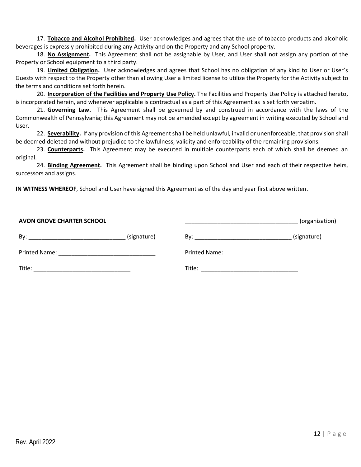17. **Tobacco and Alcohol Prohibited.** User acknowledges and agrees that the use of tobacco products and alcoholic beverages is expressly prohibited during any Activity and on the Property and any School property.

18. **No Assignment.** This Agreement shall not be assignable by User, and User shall not assign any portion of the Property or School equipment to a third party.

19. **Limited Obligation.** User acknowledges and agrees that School has no obligation of any kind to User or User's Guests with respect to the Property other than allowing User a limited license to utilize the Property for the Activity subject to the terms and conditions set forth herein.

20. **Incorporation of the Facilities and Property Use Policy.** The Facilities and Property Use Policy is attached hereto, is incorporated herein, and whenever applicable is contractual as a part of this Agreement as is set forth verbatim.

21. **Governing Law.** This Agreement shall be governed by and construed in accordance with the laws of the Commonwealth of Pennsylvania; this Agreement may not be amended except by agreement in writing executed by School and User.

22. **Severability.** If any provision of this Agreement shall be held unlawful, invalid or unenforceable, that provision shall be deemed deleted and without prejudice to the lawfulness, validity and enforceability of the remaining provisions.

23. **Counterparts.** This Agreement may be executed in multiple counterparts each of which shall be deemed an original.

24. **Binding Agreement.** This Agreement shall be binding upon School and User and each of their respective heirs, successors and assigns.

**IN WITNESS WHEREOF**, School and User have signed this Agreement as of the day and year first above written.

| <b>AVON GROVE CHARTER SCHOOL</b> |             |                                                                                                                                                                                                                                     | (organization) |
|----------------------------------|-------------|-------------------------------------------------------------------------------------------------------------------------------------------------------------------------------------------------------------------------------------|----------------|
| By:                              | (signature) |                                                                                                                                                                                                                                     | (signature)    |
| Printed Name:                    |             | <b>Printed Name:</b>                                                                                                                                                                                                                |                |
| Title:                           |             | <b>Title:</b> The contract of the contract of the contract of the contract of the contract of the contract of the contract of the contract of the contract of the contract of the contract of the contract of the contract of the c |                |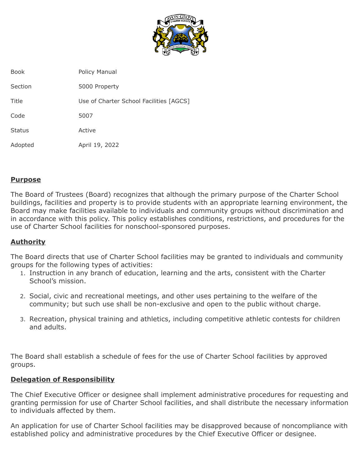

| <b>Book</b>   | Policy Manual                           |
|---------------|-----------------------------------------|
| Section       | 5000 Property                           |
| Title         | Use of Charter School Facilities [AGCS] |
| Code          | 5007                                    |
| <b>Status</b> | Active                                  |
| Adopted       | April 19, 2022                          |
|               |                                         |

## **Purpose**

The Board of Trustees (Board) recognizes that although the primary purpose of the Charter School buildings, facilities and property is to provide students with an appropriate learning environment, the Board may make facilities available to individuals and community groups without discrimination and in accordance with this policy. This policy establishes conditions, restrictions, and procedures for the use of Charter School facilities for nonschool-sponsored purposes.

# **Authority**

The Board directs that use of Charter School facilities may be granted to individuals and community groups for the following types of activities:

- 1. Instruction in any branch of education, learning and the arts, consistent with the Charter School's mission.
- 2. Social, civic and recreational meetings, and other uses pertaining to the welfare of the community; but such use shall be non-exclusive and open to the public without charge.
- 3. Recreation, physical training and athletics, including competitive athletic contests for children and adults.

The Board shall establish a schedule of fees for the use of Charter School facilities by approved groups.

## **Delegation of Responsibility**

The Chief Executive Officer or designee shall implement administrative procedures for requesting and granting permission for use of Charter School facilities, and shall distribute the necessary information to individuals affected by them.

An application for use of Charter School facilities may be disapproved because of noncompliance with established policy and administrative procedures by the Chief Executive Officer or designee.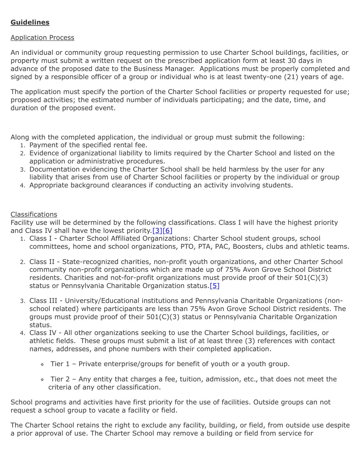# **Guidelines**

## Application Process

An individual or community group requesting permission to use Charter School buildings, facilities, or property must submit a written request on the prescribed application form at least 30 days in advance of the proposed date to the Business Manager. Applications must be properly completed and signed by a responsible officer of a group or individual who is at least twenty-one (21) years of age.

The application must specify the portion of the Charter School facilities or property requested for use; proposed activities; the estimated number of individuals participating; and the date, time, and duration of the proposed event.

Along with the completed application, the individual or group must submit the following:

- 1. Payment of the specified rental fee.
- 2. Evidence of organizational liability to limits required by the Charter School and listed on the application or administrative procedures.
- 3. Documentation evidencing the Charter School shall be held harmless by the user for any liability that arises from use of Charter School facilities or property by the individual or group
- 4. Appropriate background clearances if conducting an activity involving students.

## Classifications

Facility use will be determined by the following classifications. Class I will have the highest priority and Class IV shall have the lowest priority.  $[3][6]$ 

- 1. Class I Charter School Affiliated Organizations: Charter School student groups, school committees, home and school organizations, PTO, PTA, PAC, Boosters, clubs and athletic teams.
- 2. Class II State-recognized charities, non-profit youth organizations, and other Charter School community non-profit organizations which are made up of 75% Avon Grove School District residents. Charities and not-for-profit organizations must provide proof of their 501(C)(3) status or Pennsylvania Charitable Organization status.[5]
- 3. Class III University/Educational institutions and Pennsylvania Charitable Organizations (nonschool related) where participants are less than 75% Avon Grove School District residents. The groups must provide proof of their 501(C)(3) status or Pennsylvania Charitable Organization status.
- 4. Class IV All other organizations seeking to use the Charter School buildings, facilities, or athletic fields. These groups must submit a list of at least three (3) references with contact names, addresses, and phone numbers with their completed application.
	- Tier 1 Private enterprise/groups for benefit of youth or a youth group.
	- Tier 2 Any entity that charges a fee, tuition, admission, etc., that does not meet the criteria of any other classification.

School programs and activities have first priority for the use of facilities. Outside groups can not request a school group to vacate a facility or field.

The Charter School retains the right to exclude any facility, building, or field, from outside use despite a prior approval of use. The Charter School may remove a building or field from service for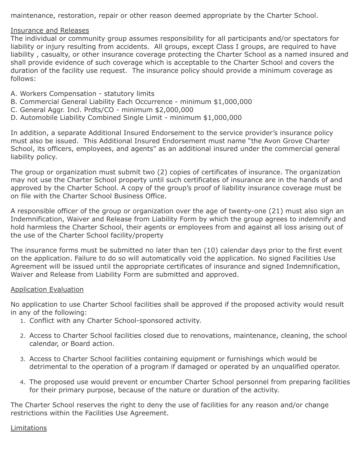maintenance, restoration, repair or other reason deemed appropriate by the Charter School.

### Insurance and Releases

The individual or community group assumes responsibility for all participants and/or spectators for liability or injury resulting from accidents. All groups, except Class I groups, are required to have liability , casualty, or other insurance coverage protecting the Charter School as a named insured and shall provide evidence of such coverage which is acceptable to the Charter School and covers the duration of the facility use request. The insurance policy should provide a minimum coverage as follows:

- A. Workers Compensation statutory limits
- B. Commercial General Liability Each Occurrence minimum \$1,000,000
- C. General Aggr. Incl. Prdts/CO minimum \$2,000,000
- D. Automobile Liability Combined Single Limit minimum \$1,000,000

In addition, a separate Additional Insured Endorsement to the service provider's insurance policy must also be issued. This Additional Insured Endorsement must name "the Avon Grove Charter School, its officers, employees, and agents" as an additional insured under the commercial general liability policy.

The group or organization must submit two (2) copies of certificates of insurance. The organization may not use the Charter School property until such certificates of insurance are in the hands of and approved by the Charter School. A copy of the group's proof of liability insurance coverage must be on file with the Charter School Business Office.

A responsible officer of the group or organization over the age of twenty-one (21) must also sign an Indemnification, Waiver and Release from Liability Form by which the group agrees to indemnify and hold harmless the Charter School, their agents or employees from and against all loss arising out of the use of the Charter School facility/property

The insurance forms must be submitted no later than ten (10) calendar days prior to the first event on the application. Failure to do so will automatically void the application. No signed Facilities Use Agreement will be issued until the appropriate certificates of insurance and signed Indemnification, Waiver and Release from Liability Form are submitted and approved.

## Application Evaluation

No application to use Charter School facilities shall be approved if the proposed activity would result in any of the following:

- 1. Conflict with any Charter School-sponsored activity.
- 2. Access to Charter School facilities closed due to renovations, maintenance, cleaning, the school calendar, or Board action.
- 3. Access to Charter School facilities containing equipment or furnishings which would be detrimental to the operation of a program if damaged or operated by an unqualified operator.
- 4. The proposed use would prevent or encumber Charter School personnel from preparing facilities for their primary purpose, because of the nature or duration of the activity.

The Charter School reserves the right to deny the use of facilities for any reason and/or change restrictions within the Facilities Use Agreement.

## Limitations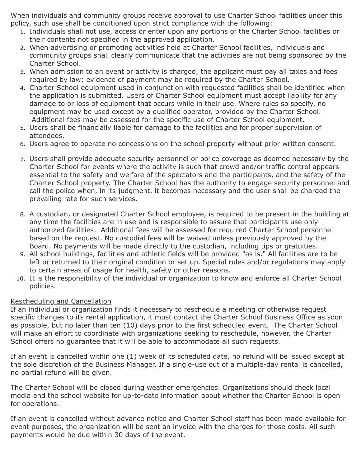When individuals and community groups receive approval to use Charter School facilities under this policy, such use shall be conditioned upon strict compliance with the following:

- 1. Individuals shall not use, access or enter upon any portions of the Charter School facilities or their contents not specified in the approved application.
- 2. When advertising or promoting activities held at Charter School facilities, individuals and community groups shall clearly communicate that the activities are not being sponsored by the Charter School.
- 3. When admission to an event or activity is charged, the applicant must pay all taxes and fees required by law; evidence of payment may be required by the Charter School.
- 4. Charter School equipment used in conjunction with requested facilities shall be identified when the application is submitted. Users of Charter School equipment must accept liability for any damage to or loss of equipment that occurs while in their use. Where rules so specify, no equipment may be used except by a qualified operator, provided by the Charter School. Additional fees may be assessed for the specific use of Charter School equipment.
- 5. Users shall be financially liable for damage to the facilities and for proper supervision of attendees.
- 6. Users agree to operate no concessions on the school property without prior written consent.
- 7. Users shall provide adequate security personnel or police coverage as deemed necessary by the Charter School for events where the activity is such that crowd and/or traffic control appears essential to the safety and welfare of the spectators and the participants, and the safety of the Charter School property. The Charter School has the authority to engage security personnel and call the police when, in its judgment, it becomes necessary and the user shall be charged the prevailing rate for such services.
- 8. A custodian, or designated Charter School employee, is required to be present in the building at any time the facilities are in use and is responsible to assure that participants use only authorized facilities. Additional fees will be assessed for required Charter School personnel based on the request. No custodial fees will be waived unless previously approved by the Board. No payments will be made directly to the custodian, including tips or gratuities.
- 9. All school buildings, facilities and athletic fields will be provided "as is." All facilities are to be left or returned to their original condition or set up. Special rules and/or regulations may apply to certain areas of usage for health, safety or other reasons.
- 10. It is the responsibility of the individual or organization to know and enforce all Charter School policies.

# Rescheduling and Cancellation

If an individual or organization finds it necessary to reschedule a meeting or otherwise request specific changes to its rental application, it must contact the Charter School Business Office as soon as possible, but no later than ten (10) days prior to the first scheduled event. The Charter School will make an effort to coordinate with organizations seeking to reschedule, however, the Charter School offers no guarantee that it will be able to accommodate all such requests.

If an event is cancelled within one (1) week of its scheduled date, no refund will be issued except at the sole discretion of the Business Manager. If a single-use out of a multiple-day rental is cancelled, no partial refund will be given.

The Charter School will be closed during weather emergencies. Organizations should check local media and the school website for up-to-date information about whether the Charter School is open for operations.

If an event is cancelled without advance notice and Charter School staff has been made available for event purposes, the organization will be sent an invoice with the charges for those costs. All such payments would be due within 30 days of the event.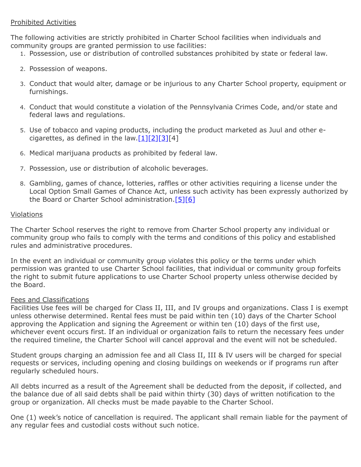## Prohibited Activities

The following activities are strictly prohibited in Charter School facilities when individuals and community groups are granted permission to use facilities:

- 1. Possession, use or distribution of controlled substances prohibited by state or federal law.
- 2. Possession of weapons.
- 3. Conduct that would alter, damage or be injurious to any Charter School property, equipment or furnishings.
- 4. Conduct that would constitute a violation of the Pennsylvania Crimes Code, and/or state and federal laws and regulations.
- 5. Use of tobacco and vaping products, including the product marketed as Juul and other ecigarettes, as defined in the law. $[1][2][3][4]$
- 6. Medical marijuana products as prohibited by federal law.
- 7. Possession, use or distribution of alcoholic beverages.
- 8. Gambling, games of chance, lotteries, raffles or other activities requiring a license under the Local Option Small Games of Chance Act, unless such activity has been expressly authorized by the Board or Charter School administration.[5][6]

#### Violations

The Charter School reserves the right to remove from Charter School property any individual or community group who fails to comply with the terms and conditions of this policy and established rules and administrative procedures.

In the event an individual or community group violates this policy or the terms under which permission was granted to use Charter School facilities, that individual or community group forfeits the right to submit future applications to use Charter School property unless otherwise decided by the Board.

#### Fees and Classifications

Facilities Use fees will be charged for Class II, III, and IV groups and organizations. Class I is exempt unless otherwise determined. Rental fees must be paid within ten (10) days of the Charter School approving the Application and signing the Agreement or within ten (10) days of the first use, whichever event occurs first. If an individual or organization fails to return the necessary fees under the required timeline, the Charter School will cancel approval and the event will not be scheduled.

Student groups charging an admission fee and all Class II, III & IV users will be charged for special requests or services, including opening and closing buildings on weekends or if programs run after regularly scheduled hours.

All debts incurred as a result of the Agreement shall be deducted from the deposit, if collected, and the balance due of all said debts shall be paid within thirty (30) days of written notification to the group or organization. All checks must be made payable to the Charter School.

One (1) week's notice of cancellation is required. The applicant shall remain liable for the payment of any regular fees and custodial costs without such notice.